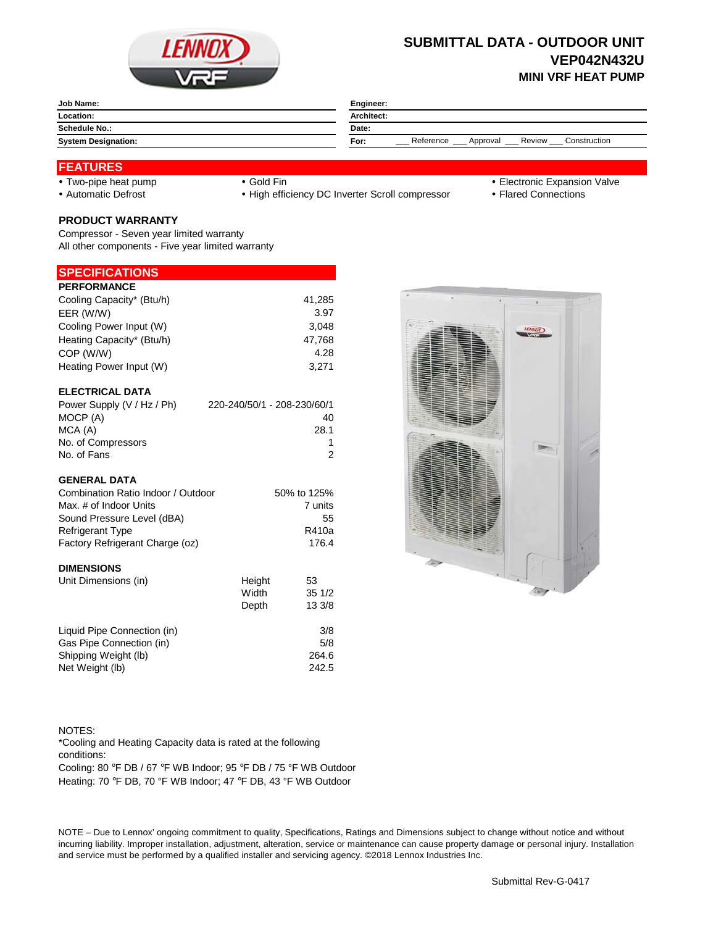

## **SUBMITTAL DATA - OUTDOOR UNIT VEP042N432U MINI VRF HEAT PUMP**

| Job Name:                  | Engineer:                                               |  |  |
|----------------------------|---------------------------------------------------------|--|--|
| Location:                  | Architect:                                              |  |  |
| <b>Schedule No.:</b>       | Date:                                                   |  |  |
| <b>System Designation:</b> | Construction<br>Reference<br>Review<br>Approval<br>For: |  |  |
|                            |                                                         |  |  |

### **FEATURES**

- 
- 

• Automatic Defrost **Caucal Connections** • High efficiency DC Inverter Scroll compressor • Flared Connections

- Two-pipe heat pump Gold Fin **Gold Fin Electronic Expansion Valve** 
	-

# **PRODUCT WARRANTY**

Compressor - Seven year limited warranty All other components - Five year limited warranty

### **SPECIFICATIONS**

| <b>PERFORMANCE</b>        |        |
|---------------------------|--------|
| Cooling Capacity* (Btu/h) | 41.285 |
| EER (W/W)                 | 3.97   |
| Cooling Power Input (W)   | 3.048  |
| Heating Capacity* (Btu/h) | 47,768 |
| COP (W/W)                 | 4.28   |
| Heating Power Input (W)   | 3.271  |
|                           |        |

# **ELECTRICAL DATA**

| 220-240/50/1 - 208-230/60/1 |
|-----------------------------|
| 40                          |
| 28.1                        |
|                             |
| 2                           |
|                             |

#### **GENERAL DATA**

| <b>DIMENSIONS</b>                  |             |
|------------------------------------|-------------|
| Factory Refrigerant Charge (oz)    | 176.4       |
| <b>Refrigerant Type</b>            | R410a       |
| Sound Pressure Level (dBA)         | 55          |
| Max. # of Indoor Units             | 7 units     |
| Combination Ratio Indoor / Outdoor | 50% to 125% |

| Unit Dimensions (in)        | Height | 53     |
|-----------------------------|--------|--------|
|                             | Width  | 351/2  |
|                             | Depth  | 13 3/8 |
| Liquid Pipe Connection (in) |        | 3/8    |
| Gas Pipe Connection (in)    |        | 5/8    |
| Shipping Weight (lb)        |        | 264.6  |
| Net Weight (lb)             |        | 242.5  |



NOTES: Cooling: 80 °F DB / 67 °F WB Indoor; 95 °F DB / 75 °F WB Outdoor Heating: 70 °F DB, 70 °F WB Indoor; 47 °F DB, 43 °F WB Outdoor \*Cooling and Heating Capacity data is rated at the following conditions:

NOTE – Due to Lennox' ongoing commitment to quality, Specifications, Ratings and Dimensions subject to change without notice and without incurring liability. Improper installation, adjustment, alteration, service or maintenance can cause property damage or personal injury. Installation and service must be performed by a qualified installer and servicing agency. ©2018 Lennox Industries Inc.